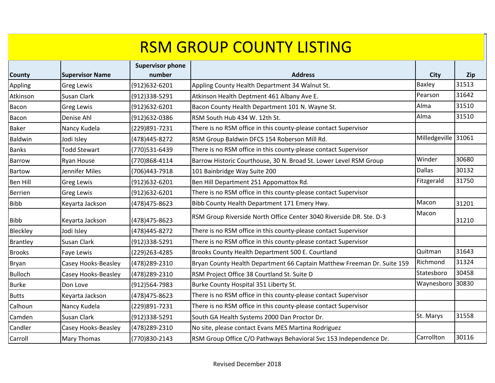| <b>County</b>   | <b>Supervisor Name</b> | <b>Supervisor phone</b><br>number | <b>Address</b>                                                          | <b>City</b>         | <b>Zip</b> |
|-----------------|------------------------|-----------------------------------|-------------------------------------------------------------------------|---------------------|------------|
| Appling         | <b>Greg Lewis</b>      | (912)632-6201                     | Appling County Health Department 34 Walnut St.                          | <b>Baxley</b>       | 31513      |
| Atkinson        | Susan Clark            | (912)338-5291                     | Atkinson Health Deptment 461 Albany Ave E.                              | Pearson             | 31642      |
| Bacon           | <b>Greg Lewis</b>      | (912)632-6201                     | Bacon County Health Department 101 N. Wayne St.                         | Alma                | 31510      |
| Bacon           | Denise Ahl             | (912)632-0386                     | RSM South Hub 434 W. 12th St.                                           | Alma                | 31510      |
| <b>Baker</b>    | Nancy Kudela           | (229)891-7231                     | There is no RSM office in this county-please contact Supervisor         |                     |            |
| Baldwin         | Jodi Isley             | (478)445-8272                     | RSM Group Baldwin DFCS 154 Roberson Mill Rd.                            | Milledgeville 31061 |            |
| <b>Banks</b>    | <b>Todd Stewart</b>    | (770)531-6439                     | There is no RSM office in this county-please contact Supervisor         |                     |            |
| Barrow          | Ryan House             | (770)868-4114                     | Barrow Historic Courthouse, 30 N. Broad St. Lower Level RSM Group       | Winder              | 30680      |
| Bartow          | Jennifer Miles         | (706)443-7918                     | 101 Bainbridge Way Suite 200                                            | <b>Dallas</b>       | 30132      |
| <b>Ben Hill</b> | <b>Greg Lewis</b>      | (912)632-6201                     | Ben Hill Department 251 Appomattox Rd.                                  | Fitzgerald          | 31750      |
| <b>Berrien</b>  | <b>Greg Lewis</b>      | (912)632-6201                     | There is no RSM office in this county-please contact Supervisor         |                     |            |
| <b>Bibb</b>     | Keyarta Jackson        | (478) 475-8623                    | Bibb County Health Department 171 Emery Hwy.                            | Macon               | 31201      |
| <b>Bibb</b>     | Keyarta Jackson        | (478)475-8623                     | RSM Group Riverside North Office Center 3040 Riverside DR. Ste. D-3     | Macon               | 31210      |
| Bleckley        | Jodi Isley             | (478) 445-8272                    | There is no RSM office in this county-please contact Supervisor         |                     |            |
| <b>Brantley</b> | Susan Clark            | (912)338-5291                     | There is no RSM office in this county-please contact Supervisor         |                     |            |
| <b>Brooks</b>   | Faye Lewis             | (229)263-4285                     | Brooks County Health Department 500 E. Courtland                        | Quitman             | 31643      |
| Bryan           | Casey Hooks-Beasley    | (478) 289-2310                    | Bryan County Health Department 66 Captain Matthew Freeman Dr. Suite 159 | Richmond            | 31324      |
| <b>Bulloch</b>  | Casey Hooks-Beasley    | (478) 289-2310                    | RSM Project Office 38 Courtland St. Suite D                             | Statesboro          | 30458      |
| <b>Burke</b>    | Don Love               | (912)564-7983                     | Burke County Hospital 351 Liberty St.                                   | Waynesboro          | 30830      |
| <b>Butts</b>    | Keyarta Jackson        | (478) 475-8623                    | There is no RSM office in this county-please contact Supervisor         |                     |            |
| Calhoun         | Nancy Kudela           | (229)891-7231                     | There is no RSM office in this county-please contact Supervisor         |                     |            |
| Camden          | Susan Clark            | (912)338-5291                     | South GA Health Systems 2000 Dan Proctor Dr.                            | St. Marys           | 31558      |
| Candler         | Casey Hooks-Beasley    | (478) 289-2310                    | No site, please contact Evans MES Martina Rodriguez                     |                     |            |
| Carroll         | Mary Thomas            | (770)830-2143                     | RSM Group Office C/O Pathways Behavioral Svc 153 Independence Dr.       | Carrollton          | 30116      |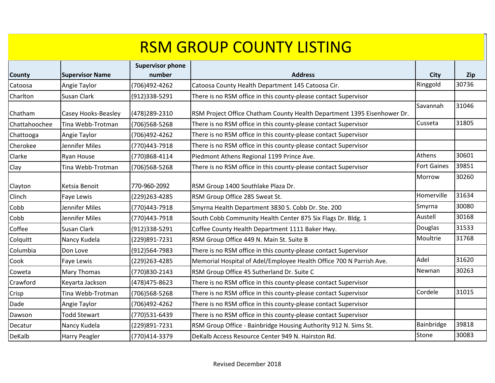|               |                        | <b>Supervisor phone</b> |                                                                         |                    |       |
|---------------|------------------------|-------------------------|-------------------------------------------------------------------------|--------------------|-------|
| <b>County</b> | <b>Supervisor Name</b> | number                  | <b>Address</b>                                                          | <b>City</b>        | Zip   |
| Catoosa       | Angie Taylor           | (706)492-4262           | Catoosa County Health Department 145 Catoosa Cir.                       | Ringgold           | 30736 |
| Charlton      | Susan Clark            | (912)338-5291           | There is no RSM office in this county-please contact Supervisor         |                    |       |
| Chatham       | Casey Hooks-Beasley    | (478) 289-2310          | RSM Project Office Chatham County Health Department 1395 Eisenhower Dr. | Savannah           | 31046 |
| Chattahoochee | Tina Webb-Trotman      | (706)568-5268           | There is no RSM office in this county-please contact Supervisor         | Cusseta            | 31805 |
| Chattooga     | Angie Taylor           | (706)492-4262           | There is no RSM office in this county-please contact Supervisor         |                    |       |
| Cherokee      | Jennifer Miles         | (770)443-7918           | There is no RSM office in this county-please contact Supervisor         |                    |       |
| Clarke        | Ryan House             | (770)868-4114           | Piedmont Athens Regional 1199 Prince Ave.                               | Athens             | 30601 |
| Clay          | Tina Webb-Trotman      | (706)568-5268           | There is no RSM office in this county-please contact Supervisor         | <b>Fort Gaines</b> | 39851 |
| Clayton       | Ketsia Benoit          | 770-960-2092            | RSM Group 1400 Southlake Plaza Dr.                                      | Morrow             | 30260 |
| Clinch        | Faye Lewis             | (229) 263-4285          | RSM Group Office 285 Sweat St.                                          | Homerville         | 31634 |
| Cobb          | Jennifer Miles         | (770)443-7918           | Smyrna Health Department 3830 S. Cobb Dr. Ste. 200                      | Smyrna             | 30080 |
| Cobb          | Jennifer Miles         | (770)443-7918           | South Cobb Community Health Center 875 Six Flags Dr. Bldg. 1            | Austell            | 30168 |
| Coffee        | Susan Clark            | (912)338-5291           | Coffee County Health Department 1111 Baker Hwy.                         | Douglas            | 31533 |
| Colquitt      | Nancy Kudela           | (229)891-7231           | RSM Group Office 449 N. Main St. Suite B                                | Moultrie           | 31768 |
| Columbia      | Don Love               | (912)564-7983           | There is no RSM office in this county-please contact Supervisor         |                    |       |
| Cook          | Faye Lewis             | (229)263-4285           | Memorial Hospital of Adel/Employee Health Office 700 N Parrish Ave.     | Adel               | 31620 |
| Coweta        | <b>Mary Thomas</b>     | (770)830-2143           | RSM Group Office 45 Sutherland Dr. Suite C                              | Newnan             | 30263 |
| Crawford      | Keyarta Jackson        | (478) 475-8623          | There is no RSM office in this county-please contact Supervisor         |                    |       |
| Crisp         | Tina Webb-Trotman      | (706)568-5268           | There is no RSM office in this county-please contact Supervisor         | Cordele            | 31015 |
| Dade          | Angie Taylor           | (706)492-4262           | There is no RSM office in this county-please contact Supervisor         |                    |       |
| Dawson        | <b>Todd Stewart</b>    | (770)531-6439           | There is no RSM office in this county-please contact Supervisor         |                    |       |
| Decatur       | Nancy Kudela           | (229)891-7231           | RSM Group Office - Bainbridge Housing Authority 912 N. Sims St.         | Bainbridge         | 39818 |
| DeKalb        | Harry Peagler          | (770)414-3379           | DeKalb Access Resource Center 949 N. Hairston Rd.                       | Stone              | 30083 |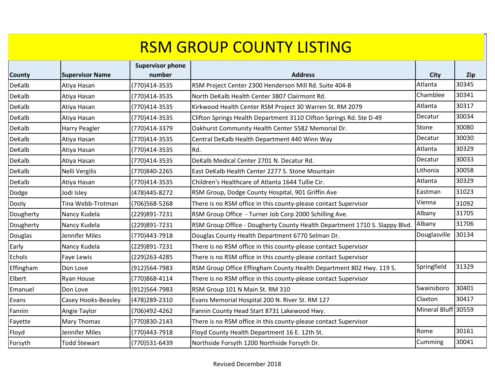| County    | <b>Supervisor Name</b> | <b>Supervisor phone</b><br>number | <b>Address</b>                                                             | <b>City</b>         | Zip   |
|-----------|------------------------|-----------------------------------|----------------------------------------------------------------------------|---------------------|-------|
| DeKalb    | Atiya Hasan            | (770)414-3535                     | RSM Project Center 2300 Henderson Mill Rd. Suite 404-B                     | Atlanta             | 30345 |
| DeKalb    | Atiya Hasan            | (770)414-3535                     | North DeKalb Health Center 3807 Clairmont Rd.                              | Chamblee            | 30341 |
| DeKalb    | Atiya Hasan            | (770)414-3535                     | Kirkwood Health Center RSM Project 30 Warren St. RM 2079                   | Atlanta             | 30317 |
| DeKalb    | Atiya Hasan            | (770)414-3535                     | Clifton Springs Health Department 3110 Clifton Springs Rd. Ste D-49        | Decatur             | 30034 |
| DeKalb    | Harry Peagler          | (770)414-3379                     | Oakhurst Community Health Center 5582 Memorial Dr.                         | Stone               | 30080 |
| DeKalb    | Atiya Hasan            | (770)414-3535                     | Central DeKalb Health Department 440 Winn Way                              | Decatur             | 30030 |
| DeKalb    | Atiya Hasan            | (770)414-3535                     | Rd.                                                                        | Atlanta             | 30329 |
| DeKalb    | Atiya Hasan            | (770)414-3535                     | DeKalb Medical Center 2701 N. Decatur Rd.                                  | Decatur             | 30033 |
| DeKalb    | Nelli Vergilis         | (770)840-2265                     | East DeKalb Health Center 2277 S. Stone Mountain                           | Lithonia            | 30058 |
| DeKalb    | Atiya Hasan            | (770)414-3535                     | Children's Healthcare of Atlanta 1644 Tullie Cir.                          | Atlanta             | 30329 |
| Dodge     | Jodi Isley             | (478) 445-8272                    | RSM Group, Dodge County Hospital, 901 Griffin Ave                          | Eastman             | 31023 |
| Dooly     | Tina Webb-Trotman      | (706)568-5268                     | There is no RSM office in this county-please contact Supervisor            | Vienna              | 31092 |
| Dougherty | Nancy Kudela           | (229)891-7231                     | RSM Group Office - Turner Job Corp 2000 Schilling Ave.                     | Albany              | 31705 |
| Dougherty | Nancy Kudela           | (229)891-7231                     | RSM Group Office - Dougherty County Health Department 1710 S. Slappy Blvd. | Albany              | 31706 |
| Douglas   | Jennifer Miles         | (770)443-7918                     | Douglas County Health Department 6770 Selman Dr.                           | Douglasville        | 30134 |
| Early     | Nancy Kudela           | (229)891-7231                     | There is no RSM office in this county-please contact Supervisor            |                     |       |
| Echols    | Faye Lewis             | (229) 263-4285                    | There is no RSM office in this county-please contact Supervisor            |                     |       |
| Effingham | Don Love               | (912)564-7983                     | RSM Group Office Effingham County Health Department 802 Hwy. 119 S.        | Springfield         | 31329 |
| Elbert    | <b>Ryan House</b>      | (770)868-4114                     | There is no RSM office in this county-please contact Supervisor            |                     |       |
| Emanuel   | Don Love               | (912)564-7983                     | RSM Group 101 N Main St. RM 310                                            | Swainsboro          | 30401 |
| Evans     | Casey Hooks-Beasley    | (478) 289-2310                    | Evans Memorial Hospital 200 N. River St. RM 127                            | Claxton             | 30417 |
| Fannin    | Angie Taylor           | (706)492-4262                     | Fannin County Head Start 8731 Lakewood Hwy.                                | Mineral Bluff 30559 |       |
| Fayette   | Mary Thomas            | (770)830-2143                     | There is no RSM office in this county-please contact Supervisor            |                     |       |
| Floyd     | Jennifer Miles         | (770)443-7918                     | Floyd County Health Department 16 E. 12th St.                              | Rome                | 30161 |
| Forsyth   | <b>Todd Stewart</b>    | (770)531-6439                     | Northside Forsyth 1200 Northside Forsyth Dr.                               | Cumming             | 30041 |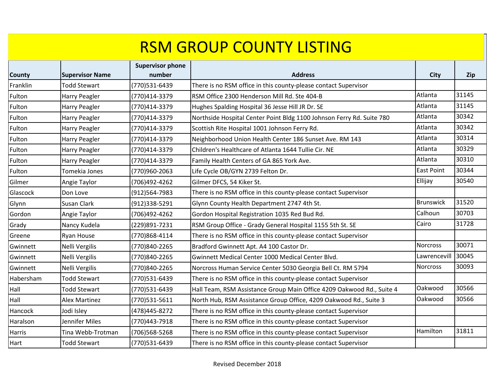| County        | <b>Supervisor Name</b> | <b>Supervisor phone</b><br>number | <b>Address</b>                                                        | City              | <b>Zip</b> |
|---------------|------------------------|-----------------------------------|-----------------------------------------------------------------------|-------------------|------------|
| Franklin      | <b>Todd Stewart</b>    | (770)531-6439                     | There is no RSM office in this county-please contact Supervisor       |                   |            |
| Fulton        | Harry Peagler          | (770)414-3379                     | RSM Office 2300 Henderson Mill Rd. Ste 404-B                          | Atlanta           | 31145      |
| Fulton        | Harry Peagler          | (770)414-3379                     | Hughes Spalding Hospital 36 Jesse Hill JR Dr. SE                      | Atlanta           | 31145      |
| Fulton        | Harry Peagler          | (770)414-3379                     | Northside Hospital Center Point Bldg 1100 Johnson Ferry Rd. Suite 780 | Atlanta           | 30342      |
| Fulton        | Harry Peagler          | (770)414-3379                     | Scottish Rite Hospital 1001 Johnson Ferry Rd.                         | Atlanta           | 30342      |
| Fulton        | Harry Peagler          | (770)414-3379                     | Neighborhood Union Health Center 186 Sunset Ave. RM 143               | Atlanta           | 30314      |
| Fulton        | <b>Harry Peagler</b>   | (770)414-3379                     | Children's Healthcare of Atlanta 1644 Tullie Cir. NE                  | Atlanta           | 30329      |
| Fulton        | Harry Peagler          | (770)414-3379                     | Family Health Centers of GA 865 York Ave.                             | Atlanta           | 30310      |
| Fulton        | Tomekia Jones          | (770)960-2063                     | Life Cycle OB/GYN 2739 Felton Dr.                                     | <b>East Point</b> | 30344      |
| Gilmer        | Angie Taylor           | (706)492-4262                     | Gilmer DFCS, 54 Kiker St.                                             | Ellijay           | 30540      |
| Glascock      | Don Love               | (912)564-7983                     | There is no RSM office in this county-please contact Supervisor       |                   |            |
| Glynn         | Susan Clark            | (912)338-5291                     | Glynn County Health Department 2747 4th St.                           | <b>Brunswick</b>  | 31520      |
| Gordon        | Angie Taylor           | (706)492-4262                     | Gordon Hospital Registration 1035 Red Bud Rd.                         | Calhoun           | 30703      |
| Grady         | Nancy Kudela           | (229)891-7231                     | RSM Group Office - Grady General Hospital 1155 5th St. SE             | Cairo             | 31728      |
| Greene        | Ryan House             | (770)868-4114                     | There is no RSM office in this county-please contact Supervisor       |                   |            |
| Gwinnett      | Nelli Vergilis         | (770)840-2265                     | Bradford Gwinnett Apt. A4 100 Castor Dr.                              | <b>Norcross</b>   | 30071      |
| Gwinnett      | Nelli Vergilis         | (770)840-2265                     | Gwinnett Medical Center 1000 Medical Center Blvd.                     | Lawrencevill      | 30045      |
| Gwinnett      | Nelli Vergilis         | (770)840-2265                     | Norcross Human Service Center 5030 Georgia Bell Ct. RM 5794           | <b>Norcross</b>   | 30093      |
| Habersham     | <b>Todd Stewart</b>    | (770)531-6439                     | There is no RSM office in this county-please contact Supervisor       |                   |            |
| Hall          | <b>Todd Stewart</b>    | (770)531-6439                     | Hall Team, RSM Assistance Group Main Office 4209 Oakwood Rd., Suite 4 | Oakwood           | 30566      |
| Hall          | <b>Alex Martinez</b>   | (770)531-5611                     | North Hub, RSM Assistance Group Office, 4209 Oakwood Rd., Suite 3     | Oakwood           | 30566      |
| Hancock       | Jodi Isley             | (478) 445-8272                    | There is no RSM office in this county-please contact Supervisor       |                   |            |
| Haralson      | Jennifer Miles         | (770)443-7918                     | There is no RSM office in this county-please contact Supervisor       |                   |            |
| <b>Harris</b> | Tina Webb-Trotman      | (706)568-5268                     | There is no RSM office in this county-please contact Supervisor       | Hamilton          | 31811      |
| Hart          | <b>Todd Stewart</b>    | (770)531-6439                     | There is no RSM office in this county-please contact Supervisor       |                   |            |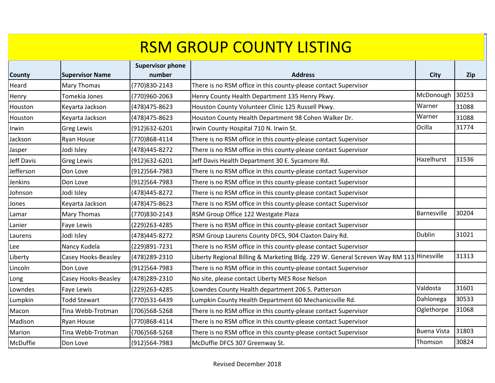| <b>County</b> | <b>Supervisor Name</b> | <b>Supervisor phone</b><br>number | <b>Address</b>                                                                          | <b>City</b>        |            |
|---------------|------------------------|-----------------------------------|-----------------------------------------------------------------------------------------|--------------------|------------|
| Heard         | <b>Mary Thomas</b>     | (770)830-2143                     | There is no RSM office in this county-please contact Supervisor                         |                    | <b>Zip</b> |
|               |                        |                                   |                                                                                         | McDonough          | 30253      |
| Henry         | Tomekia Jones          | (770)960-2063                     | Henry County Health Department 135 Henry Pkwy.                                          |                    |            |
| Houston       | Keyarta Jackson        | (478) 475-8623                    | Houston County Volunteer Clinic 125 Russell Pkwy.                                       | Warner             | 31088      |
| Houston       | Keyarta Jackson        | (478) 475-8623                    | Houston County Health Department 98 Cohen Walker Dr.                                    | Warner             | 31088      |
| Irwin         | <b>Greg Lewis</b>      | (912)632-6201                     | Irwin County Hospital 710 N. Irwin St.                                                  | Ocilla             | 31774      |
| Jackson       | Ryan House             | (770)868-4114                     | There is no RSM office in this county-please contact Supervisor                         |                    |            |
| Jasper        | Jodi Isley             | (478) 445-8272                    | There is no RSM office in this county-please contact Supervisor                         |                    |            |
| Jeff Davis    | <b>Greg Lewis</b>      | (912)632-6201                     | Jeff Davis Health Department 30 E. Sycamore Rd.                                         | Hazelhurst         | 31536      |
| Jefferson     | Don Love               | (912)564-7983                     | There is no RSM office in this county-please contact Supervisor                         |                    |            |
| Jenkins       | Don Love               | (912)564-7983                     | There is no RSM office in this county-please contact Supervisor                         |                    |            |
| Johnson       | Jodi Isley             | (478) 445-8272                    | There is no RSM office in this county-please contact Supervisor                         |                    |            |
| Jones         | Keyarta Jackson        | (478) 475-8623                    | There is no RSM office in this county-please contact Supervisor                         |                    |            |
| Lamar         | <b>Mary Thomas</b>     | (770)830-2143                     | RSM Group Office 122 Westgate Plaza                                                     | Barnesville        | 30204      |
| Lanier        | Faye Lewis             | (229) 263-4285                    | There is no RSM office in this county-please contact Supervisor                         |                    |            |
| Laurens       | Jodi Isley             | (478) 445-8272                    | RSM Group Laurens County DFCS, 904 Claxton Dairy Rd.                                    | Dublin             | 31021      |
| Lee           | Nancy Kudela           | (229)891-7231                     | There is no RSM office in this county-please contact Supervisor                         |                    |            |
| Liberty       | Casey Hooks-Beasley    | (478) 289-2310                    | Liberty Regional Billing & Marketing Bldg. 229 W. General Screven Way RM 113 Hinesville |                    | 31313      |
| Lincoln       | Don Love               | (912)564-7983                     | There is no RSM office in this county-please contact Supervisor                         |                    |            |
| Long          | Casey Hooks-Beasley    | (478) 289-2310                    | No site, please contact Liberty MES Rose Nelson                                         |                    |            |
| Lowndes       | Faye Lewis             | (229)263-4285                     | Lowndes County Health department 206 S. Patterson                                       | Valdosta           | 31601      |
| Lumpkin       | <b>Todd Stewart</b>    | (770)531-6439                     | Lumpkin County Health Department 60 Mechanicsville Rd.                                  | Dahlonega          | 30533      |
| Macon         | Tina Webb-Trotman      | (706)568-5268                     | There is no RSM office in this county-please contact Supervisor                         | Oglethorpe         | 31068      |
| Madison       | <b>Ryan House</b>      | (770)868-4114                     | There is no RSM office in this county-please contact Supervisor                         |                    |            |
| Marion        | Tina Webb-Trotman      | (706)568-5268                     | There is no RSM office in this county-please contact Supervisor                         | <b>Buena Vista</b> | 31803      |
| McDuffie      | Don Love               | (912)564-7983                     | McDuffie DFCS 307 Greenway St.                                                          | Thomson            | 30824      |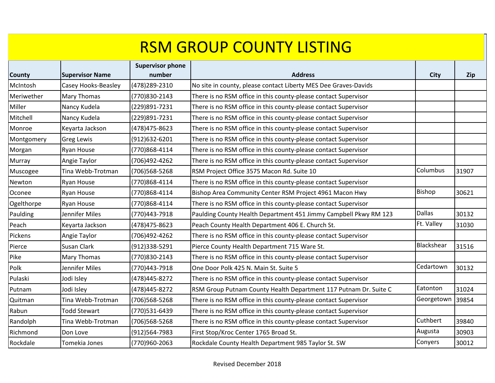| County     | <b>Supervisor Name</b> | <b>Supervisor phone</b><br>number | <b>Address</b>                                                   | <b>City</b>   | Zip   |
|------------|------------------------|-----------------------------------|------------------------------------------------------------------|---------------|-------|
| McIntosh   | Casey Hooks-Beasley    | (478) 289-2310                    | No site in county, please contact Liberty MES Dee Graves-Davids  |               |       |
| Meriwether | <b>Mary Thomas</b>     | (770)830-2143                     | There is no RSM office in this county-please contact Supervisor  |               |       |
| Miller     | Nancy Kudela           | (229)891-7231                     | There is no RSM office in this county-please contact Supervisor  |               |       |
| Mitchell   | Nancy Kudela           | (229)891-7231                     | There is no RSM office in this county-please contact Supervisor  |               |       |
| Monroe     | Keyarta Jackson        | (478) 475-8623                    | There is no RSM office in this county-please contact Supervisor  |               |       |
| Montgomery | <b>Greg Lewis</b>      | (912)632-6201                     | There is no RSM office in this county-please contact Supervisor  |               |       |
| Morgan     | <b>Ryan House</b>      | (770)868-4114                     | There is no RSM office in this county-please contact Supervisor  |               |       |
| Murray     | Angie Taylor           | (706)492-4262                     | There is no RSM office in this county-please contact Supervisor  |               |       |
| Muscogee   | Tina Webb-Trotman      | (706)568-5268                     | RSM Project Office 3575 Macon Rd. Suite 10                       | Columbus      | 31907 |
| Newton     | <b>Ryan House</b>      | (770)868-4114                     | There is no RSM office in this county-please contact Supervisor  |               |       |
| Oconee     | <b>Ryan House</b>      | (770)868-4114                     | Bishop Area Community Center RSM Project 4961 Macon Hwy          | Bishop        | 30621 |
| Ogelthorpe | <b>Ryan House</b>      | (770)868-4114                     | There is no RSM office in this county-please contact Supervisor  |               |       |
| Paulding   | Jennifer Miles         | (770)443-7918                     | Paulding County Health Department 451 Jimmy Campbell Pkwy RM 123 | <b>Dallas</b> | 30132 |
| Peach      | Keyarta Jackson        | (478) 475-8623                    | Peach County Health Department 406 E. Church St.                 | Ft. Valley    | 31030 |
| Pickens    | Angie Taylor           | (706)492-4262                     | There is no RSM office in this county-please contact Supervisor  |               |       |
| Pierce     | Susan Clark            | (912)338-5291                     | Pierce County Health Department 715 Ware St.                     | Blackshear    | 31516 |
| Pike       | <b>Mary Thomas</b>     | (770)830-2143                     | There is no RSM office in this county-please contact Supervisor  |               |       |
| Polk       | Jennifer Miles         | (770)443-7918                     | One Door Polk 425 N. Main St. Suite 5                            | Cedartown     | 30132 |
| Pulaski    | Jodi Isley             | (478) 445-8272                    | There is no RSM office in this county-please contact Supervisor  |               |       |
| Putnam     | Jodi Isley             | (478) 445-8272                    | RSM Group Putnam County Health Department 117 Putnam Dr. Suite C | Eatonton      | 31024 |
| Quitman    | Tina Webb-Trotman      | (706)568-5268                     | There is no RSM office in this county-please contact Supervisor  | Georgetown    | 39854 |
| Rabun      | <b>Todd Stewart</b>    | (770)531-6439                     | There is no RSM office in this county-please contact Supervisor  |               |       |
| Randolph   | Tina Webb-Trotman      | (706)568-5268                     | There is no RSM office in this county-please contact Supervisor  | Cuthbert      | 39840 |
| Richmond   | Don Love               | (912)564-7983                     | First Stop/Kroc Center 1765 Broad St.                            | Augusta       | 30903 |
| Rockdale   | Tomekia Jones          | (770)960-2063                     | Rockdale County Health Department 985 Taylor St. SW              | Conyers       | 30012 |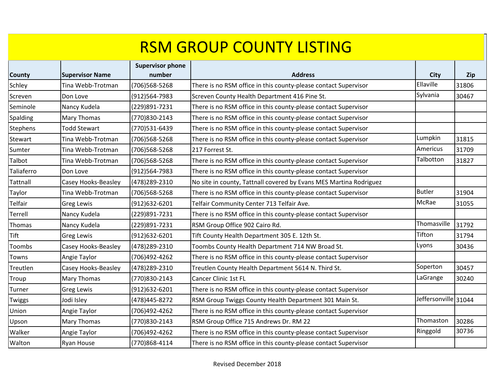| County     | <b>Supervisor Name</b> | <b>Supervisor phone</b><br>number | <b>Address</b>                                                     | <b>City</b>          | <b>Zip</b> |
|------------|------------------------|-----------------------------------|--------------------------------------------------------------------|----------------------|------------|
| Schley     | Tina Webb-Trotman      | (706)568-5268                     | There is no RSM office in this county-please contact Supervisor    | Ellaville            | 31806      |
| Screven    | Don Love               | (912)564-7983                     | Screven County Health Department 416 Pine St.                      | Sylvania             | 30467      |
| Seminole   | Nancy Kudela           | (229)891-7231                     | There is no RSM office in this county-please contact Supervisor    |                      |            |
| Spalding   | <b>Mary Thomas</b>     | (770)830-2143                     | There is no RSM office in this county-please contact Supervisor    |                      |            |
| Stephens   | <b>Todd Stewart</b>    | (770)531-6439                     | There is no RSM office in this county-please contact Supervisor    |                      |            |
| Stewart    | Tina Webb-Trotman      | (706)568-5268                     | There is no RSM office in this county-please contact Supervisor    | Lumpkin              | 31815      |
|            |                        |                                   |                                                                    | Americus             |            |
| Sumter     | Tina Webb-Trotman      | (706)568-5268                     | 217 Forrest St.                                                    | Talbotton            | 31709      |
| Talbot     | Tina Webb-Trotman      | (706)568-5268                     | There is no RSM office in this county-please contact Supervisor    |                      | 31827      |
| Taliaferro | Don Love               | (912)564-7983                     | There is no RSM office in this county-please contact Supervisor    |                      |            |
| Tattnall   | Casey Hooks-Beasley    | (478) 289-2310                    | No site in county, Tattnall covered by Evans MES Martina Rodriguez |                      |            |
| Taylor     | Tina Webb-Trotman      | (706)568-5268                     | There is no RSM office in this county-please contact Supervisor    | <b>Butler</b>        | 31904      |
| Telfair    | <b>Greg Lewis</b>      | (912)632-6201                     | Telfair Community Center 713 Telfair Ave.                          | McRae                | 31055      |
| Terrell    | Nancy Kudela           | (229)891-7231                     | There is no RSM office in this county-please contact Supervisor    |                      |            |
| Thomas     | Nancy Kudela           | (229)891-7231                     | RSM Group Office 902 Cairo Rd.                                     | Thomasville          | 31792      |
| Tift       | <b>Greg Lewis</b>      | (912)632-6201                     | Tift County Health Department 305 E. 12th St.                      | Tifton               | 31794      |
| Toombs     | Casey Hooks-Beasley    | (478) 289-2310                    | Toombs County Health Department 714 NW Broad St.                   | Lyons                | 30436      |
| Towns      | Angie Taylor           | (706)492-4262                     | There is no RSM office in this county-please contact Supervisor    |                      |            |
| Treutlen   | Casey Hooks-Beasley    | (478) 289-2310                    | Treutlen County Health Department 5614 N. Third St.                | Soperton             | 30457      |
| Troup      | Mary Thomas            | (770)830-2143                     | <b>Cancer Clinic 1st FL</b>                                        | LaGrange             | 30240      |
| Turner     | <b>Greg Lewis</b>      | (912)632-6201                     | There is no RSM office in this county-please contact Supervisor    |                      |            |
| Twiggs     | Jodi Isley             | (478) 445-8272                    | RSM Group Twiggs County Health Department 301 Main St.             | Jeffersonville 31044 |            |
| Union      | Angie Taylor           | (706)492-4262                     | There is no RSM office in this county-please contact Supervisor    |                      |            |
| Upson      | Mary Thomas            | (770)830-2143                     | RSM Group Office 715 Andrews Dr. RM 22                             | Thomaston            | 30286      |
| Walker     | Angie Taylor           | (706)492-4262                     | There is no RSM office in this county-please contact Supervisor    | Ringgold             | 30736      |
| Walton     | <b>Ryan House</b>      | (770)868-4114                     | There is no RSM office in this county-please contact Supervisor    |                      |            |